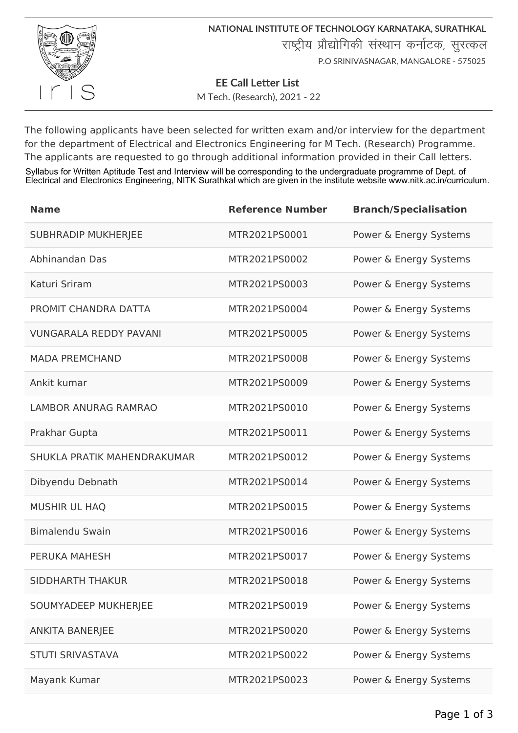

**NATIONAL INSTITUTE OF TECHNOLOGY KARNATAKA, SURATHKAL** राष्ट्रीय प्रौद्योगिकी संस्थान कर्नाटक, सुरत्कल P.O SRINIVASNAGAR, MANGALORE - 575025

**EE Call Letter List** 

M Tech. (Research), 2021 - 22

The following applicants have been selected for written exam and/or interview for the department for the department of Electrical and Electronics Engineering for M Tech. (Research) Programme. The applicants are requested to go through additional information provided in their Call letters.

Syllabus for Written Aptitude Test and Interview will be corresponding to the undergraduate programme of Dept. of Electrical and Electronics Engineering, NITK Surathkal which are given in the institute website www.nitk.ac.in/curriculum.

| <b>Name</b>                   | <b>Reference Number</b> | <b>Branch/Specialisation</b> |
|-------------------------------|-------------------------|------------------------------|
| <b>SUBHRADIP MUKHERJEE</b>    | MTR2021PS0001           | Power & Energy Systems       |
| Abhinandan Das                | MTR2021PS0002           | Power & Energy Systems       |
| Katuri Sriram                 | MTR2021PS0003           | Power & Energy Systems       |
| PROMIT CHANDRA DATTA          | MTR2021PS0004           | Power & Energy Systems       |
| <b>VUNGARALA REDDY PAVANI</b> | MTR2021PS0005           | Power & Energy Systems       |
| <b>MADA PREMCHAND</b>         | MTR2021PS0008           | Power & Energy Systems       |
| Ankit kumar                   | MTR2021PS0009           | Power & Energy Systems       |
| <b>LAMBOR ANURAG RAMRAO</b>   | MTR2021PS0010           | Power & Energy Systems       |
| Prakhar Gupta                 | MTR2021PS0011           | Power & Energy Systems       |
| SHUKLA PRATIK MAHENDRAKUMAR   | MTR2021PS0012           | Power & Energy Systems       |
| Dibyendu Debnath              | MTR2021PS0014           | Power & Energy Systems       |
| <b>MUSHIR UL HAQ</b>          | MTR2021PS0015           | Power & Energy Systems       |
| <b>Bimalendu Swain</b>        | MTR2021PS0016           | Power & Energy Systems       |
| <b>PERUKA MAHESH</b>          | MTR2021PS0017           | Power & Energy Systems       |
| <b>SIDDHARTH THAKUR</b>       | MTR2021PS0018           | Power & Energy Systems       |
| SOUMYADEEP MUKHERJEE          | MTR2021PS0019           | Power & Energy Systems       |
| <b>ANKITA BANERJEE</b>        | MTR2021PS0020           | Power & Energy Systems       |
| <b>STUTI SRIVASTAVA</b>       | MTR2021PS0022           | Power & Energy Systems       |
| Mayank Kumar                  | MTR2021PS0023           | Power & Energy Systems       |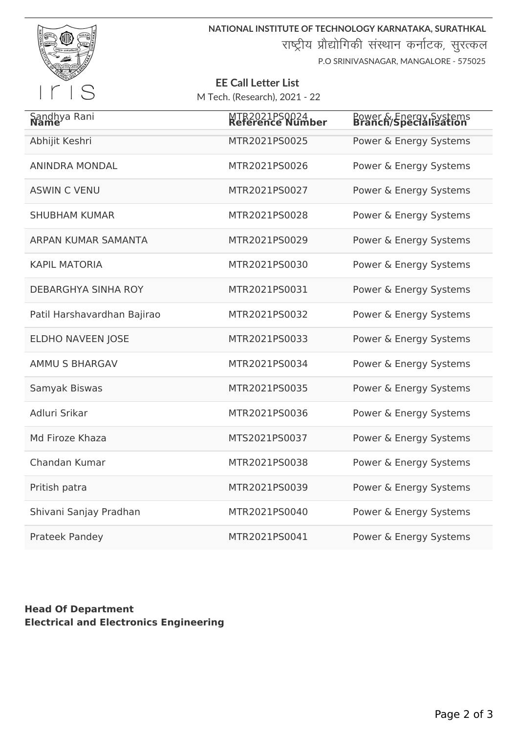

**NATIONAL INSTITUTE OF TECHNOLOGY KARNATAKA, SURATHKAL**

राष्ट्रीय प्रौद्योगिकी संस्थान कर्नाटक, सुरत्कल

P.O SRINIVASNAGAR, MANGALORE - 575025

## **EE Call Letter List** M Tech. (Research), 2021 - 22

| Sandhya Rani<br>Name        | MTR2021PS0024<br>Reference Number | Power & Energy Systems<br><b>Branch/Specialisation</b> |
|-----------------------------|-----------------------------------|--------------------------------------------------------|
| Abhijit Keshri              | MTR2021PS0025                     | Power & Energy Systems                                 |
| <b>ANINDRA MONDAL</b>       | MTR2021PS0026                     | Power & Energy Systems                                 |
| <b>ASWIN C VENU</b>         | MTR2021PS0027                     | Power & Energy Systems                                 |
| <b>SHUBHAM KUMAR</b>        | MTR2021PS0028                     | Power & Energy Systems                                 |
| ARPAN KUMAR SAMANTA         | MTR2021PS0029                     | Power & Energy Systems                                 |
| <b>KAPIL MATORIA</b>        | MTR2021PS0030                     | Power & Energy Systems                                 |
| <b>DEBARGHYA SINHA ROY</b>  | MTR2021PS0031                     | Power & Energy Systems                                 |
| Patil Harshavardhan Bajirao | MTR2021PS0032                     | Power & Energy Systems                                 |
| <b>ELDHO NAVEEN JOSE</b>    | MTR2021PS0033                     | Power & Energy Systems                                 |
| <b>AMMU S BHARGAV</b>       | MTR2021PS0034                     | Power & Energy Systems                                 |
| Samyak Biswas               | MTR2021PS0035                     | Power & Energy Systems                                 |
| Adluri Srikar               | MTR2021PS0036                     | Power & Energy Systems                                 |
| Md Firoze Khaza             | MTS2021PS0037                     | Power & Energy Systems                                 |
| Chandan Kumar               | MTR2021PS0038                     | Power & Energy Systems                                 |
| Pritish patra               | MTR2021PS0039                     | Power & Energy Systems                                 |
| Shivani Sanjay Pradhan      | MTR2021PS0040                     | Power & Energy Systems                                 |
| <b>Prateek Pandey</b>       | MTR2021PS0041                     | Power & Energy Systems                                 |

## **Head Of Department Electrical and Electronics Engineering**